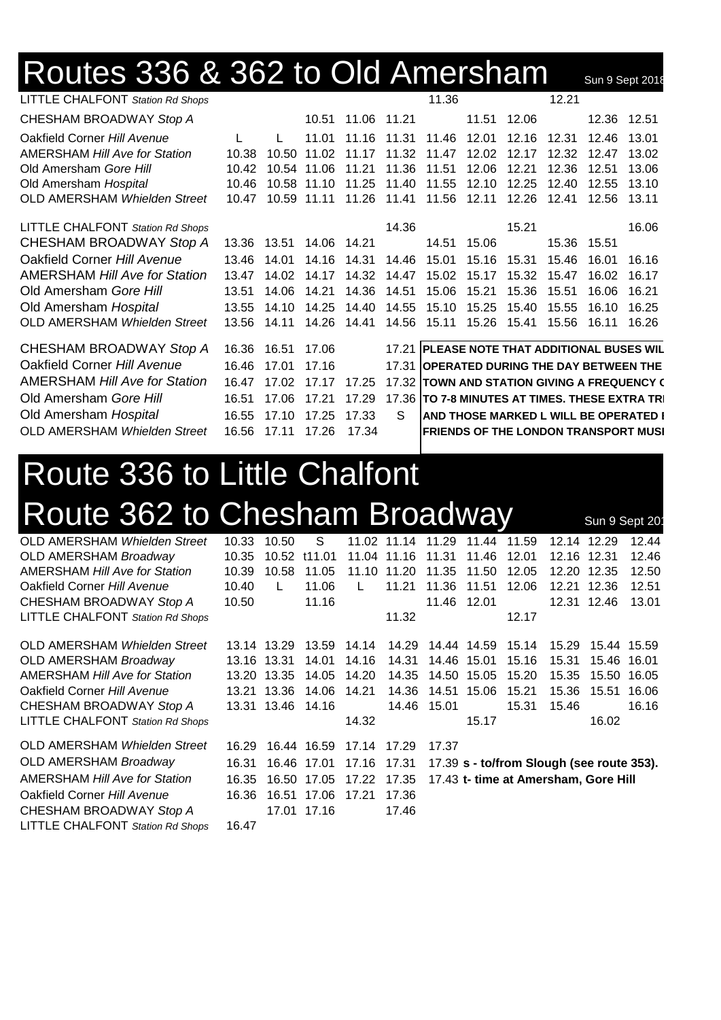## Routes 336 & 362 to Old Amersham Sun 9 Sept 2018

| <b>LITTLE CHALFONT</b> Station Rd Shops |       |             |             |             |             | 11.36                                     |       |             | 12.21 |             |                                                |
|-----------------------------------------|-------|-------------|-------------|-------------|-------------|-------------------------------------------|-------|-------------|-------|-------------|------------------------------------------------|
| CHESHAM BROADWAY Stop A                 |       |             | 10.51       | 11.06 11.21 |             |                                           |       | 11.51 12.06 |       | 12.36 12.51 |                                                |
| Oakfield Corner Hill Avenue             | L     |             | 11.01       |             | 11.16 11.31 | 11.46                                     | 12.01 | 12.16       | 12.31 | 12.46       | 13.01                                          |
| <b>AMERSHAM Hill Ave for Station</b>    | 10.38 | 10.50       | 11.02       | 11.17       | 11.32       | 11.47                                     | 12.02 | 12.17       | 12.32 | 12.47       | 13.02                                          |
| Old Amersham Gore Hill                  | 10.42 |             | 10.54 11.06 | 11.21       | 11.36       | 11.51                                     | 12.06 | 12.21       | 12.36 | 12.51       | 13.06                                          |
| Old Amersham Hospital                   | 10.46 |             | 10.58 11.10 | 11.25       | 11.40       | 11.55                                     | 12.10 | 12.25       | 12.40 | 12.55       | 13.10                                          |
| <b>OLD AMERSHAM Whielden Street</b>     | 10.47 |             | 10.59 11.11 | 11.26       | 11.41       | 11.56                                     | 12.11 | 12.26       | 12.41 | 12.56       | 13.11                                          |
| <b>LITTLE CHALFONT</b> Station Rd Shops |       |             |             |             | 14.36       |                                           |       | 15.21       |       |             | 16.06                                          |
| CHESHAM BROADWAY Stop A                 |       | 13.36 13.51 | 14.06 14.21 |             |             | 14.51                                     | 15.06 |             |       | 15.36 15.51 |                                                |
| Oakfield Corner Hill Avenue             | 13.46 | 14.01       | 14.16       | 14.31       |             | 14.46 15.01                               | 15.16 | 15.31       | 15.46 | 16.01       | 16.16                                          |
| <b>AMERSHAM Hill Ave for Station</b>    | 13.47 | 14.02       | 14.17       | 14.32       | 14.47       | 15.02                                     | 15.17 | 15.32       | 15.47 | 16.02       | 16.17                                          |
| Old Amersham Gore Hill                  | 13.51 | 14.06       | 14.21       | 14.36       | 14.51       | 15.06                                     | 15.21 | 15.36       | 15.51 | 16.06       | 16.21                                          |
| Old Amersham Hospital                   | 13.55 | 14.10       | 14.25       | 14.40       | 14.55       | 15.10                                     | 15.25 | 15.40       | 15.55 | 16.10       | 16.25                                          |
| <b>OLD AMERSHAM Whielden Street</b>     | 13.56 | 14.11       | 14.26       | 14.41       | 14.56       | 15.11                                     |       | 15.26 15.41 | 15.56 | 16.11       | 16.26                                          |
| CHESHAM BROADWAY Stop A                 | 16.36 | 16.51       | 17.06       |             |             |                                           |       |             |       |             | 17.21 PLEASE NOTE THAT ADDITIONAL BUSES WIL    |
| Oakfield Corner Hill Avenue             | 16.46 | 17.01       | 17.16       |             |             | 17.31 OPERATED DURING THE DAY BETWEEN THE |       |             |       |             |                                                |
| <b>AMERSHAM Hill Ave for Station</b>    | 16.47 | 17.02       | 17 17       | 17.25       |             |                                           |       |             |       |             | 17.32 TOWN AND STATION GIVING A FREQUENCY (    |
| Old Amersham Gore Hill                  | 16.51 | 17.06       | 17.21       | 17.29       |             |                                           |       |             |       |             | 17.36 TO 7-8 MINUTES AT TIMES. THESE EXTRA TRI |
| Old Amersham Hospital                   | 16.55 | 17.10       | 17.25       | 17.33       | S.          |                                           |       |             |       |             | <b>AND THOSE MARKED L WILL BE OPERATED I</b>   |
| <b>OLD AMERSHAM Whielden Street</b>     | 16.56 | 17.11       | 17.26       | 17.34       |             |                                           |       |             |       |             | <b>FRIENDS OF THE LONDON TRANSPORT MUSI</b>    |

## Route 336 to Little Chalfont Route 362 to Chesham Broadway Sun 9 Sept 20

| OLD AMERSHAM Whielden Street            | 10.33 | 10.50             | S            |             | 11.02 11.14 | 11.29       | 11.44       | 11.59                                     |             | 12.14 12.29 | 12.44 |
|-----------------------------------------|-------|-------------------|--------------|-------------|-------------|-------------|-------------|-------------------------------------------|-------------|-------------|-------|
| OLD AMERSHAM Broadway                   | 10.35 |                   | 10.52 t11.01 |             | 11.04 11.16 | 11.31       | 11.46 12.01 |                                           | 12.16 12.31 |             | 12.46 |
| <b>AMERSHAM Hill Ave for Station</b>    | 10.39 | 10.58             | 11.05        |             | 11.10 11.20 | 11.35       | 11.50       | 12.05                                     |             | 12.20 12.35 | 12.50 |
| Oakfield Corner Hill Avenue             | 10.40 | L                 | 11.06        | L           | 11.21       | 11.36       | 11.51       | 12.06                                     | 12.21       | 12.36       | 12.51 |
| CHESHAM BROADWAY Stop A                 | 10.50 |                   | 11.16        |             |             | 11.46       | 12.01       |                                           |             | 12.31 12.46 | 13.01 |
| <b>LITTLE CHALFONT</b> Station Rd Shops |       |                   |              |             | 11.32       |             |             | 12.17                                     |             |             |       |
| OLD AMERSHAM Whielden Street            |       | 13.14 13.29       | 13.59        | 14.14       | 14.29       |             | 14.44 14.59 | 15.14                                     | 15.29       | 15.44 15.59 |       |
| <b>OLD AMERSHAM Broadway</b>            |       | 13.16 13.31       | 14.01        | 14.16       | 14.31       |             | 14.46 15.01 | 15.16                                     | 15.31       | 15.46 16.01 |       |
| <b>AMERSHAM Hill Ave for Station</b>    |       | 13.20 13.35       | 14.05        | 14.20       | 14.35       |             | 14.50 15.05 | 15.20                                     | 15.35       | 15.50 16.05 |       |
| Oakfield Corner Hill Avenue             |       | 13.21 13.36       | 14.06        | 14.21       | 14.36       |             | 14.51 15.06 | 15.21                                     | 15.36       | 15.51       | 16.06 |
| CHESHAM BROADWAY Stop A                 |       | 13.31 13.46 14.16 |              |             |             | 14.46 15.01 |             | 15.31                                     | 15.46       |             | 16.16 |
| LITTLE CHALFONT Station Rd Shops        |       |                   |              | 14.32       |             |             | 15.17       |                                           |             | 16.02       |       |
| OLD AMERSHAM Whielden Street            | 16.29 |                   | 16.44 16.59  | 17.14 17.29 |             | 17.37       |             |                                           |             |             |       |
| <b>OLD AMERSHAM Broadway</b>            | 16.31 |                   | 16.46 17.01  | 17.16 17.31 |             |             |             | 17.39 s - to/from Slough (see route 353). |             |             |       |
| <b>AMERSHAM Hill Ave for Station</b>    | 16.35 |                   | 16.50 17.05  | 17.22 17.35 |             |             |             | 17.43 t- time at Amersham, Gore Hill      |             |             |       |
| Oakfield Corner Hill Avenue             | 16.36 |                   | 16.51 17.06  | 17.21       | 17.36       |             |             |                                           |             |             |       |
| CHESHAM BROADWAY Stop A                 |       |                   | 17.01 17.16  |             | 17.46       |             |             |                                           |             |             |       |
| <b>LITTLE CHALFONT Station Rd Shops</b> | 16.47 |                   |              |             |             |             |             |                                           |             |             |       |